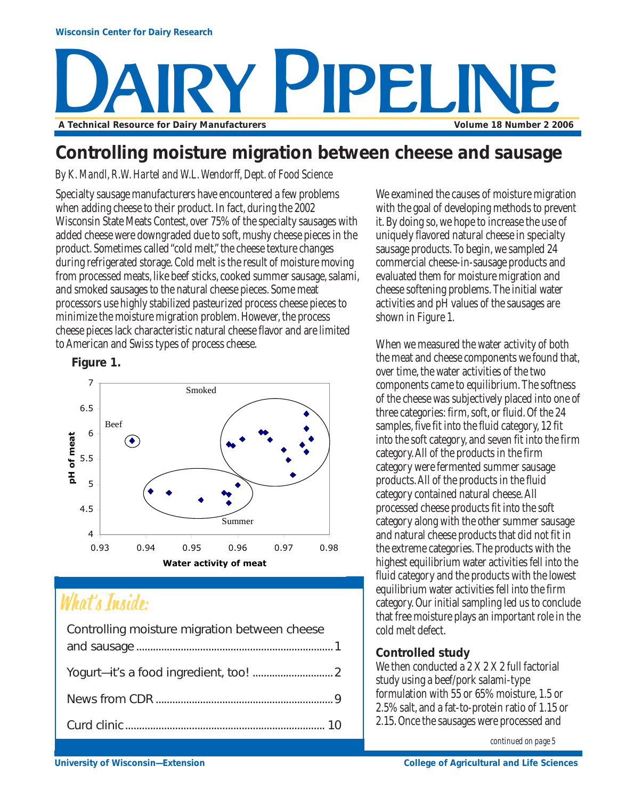# PIPELIN **A Technical Resource for Dairy Manufacturers Volume 18 Number 2 2006**

### **Controlling moisture migration between cheese and sausage**

*By K. Mandl, R.W. Hartel and W.L. Wendorff, Dept. of Food Science*

Specialty sausage manufacturers have encountered a few problems when adding cheese to their product. In fact, during the 2002 Wisconsin State Meats Contest, over 75% of the specialty sausages with added cheese were downgraded due to soft, mushy cheese pieces in the product. Sometimes called "cold melt," the cheese texture changes during refrigerated storage. Cold melt is the result of moisture moving from processed meats, like beef sticks, cooked summer sausage, salami, and smoked sausages to the natural cheese pieces. Some meat processors use highly stabilized pasteurized process cheese pieces to minimize the moisture migration problem. However, the process cheese pieces lack characteristic natural cheese flavor and are limited to American and Swiss types of process cheese.

**Figure 1.**



## What's Inside:

| Controlling moisture migration between cheese |  |
|-----------------------------------------------|--|
|                                               |  |
|                                               |  |
|                                               |  |
|                                               |  |

We examined the causes of moisture migration with the goal of developing methods to prevent it. By doing so, we hope to increase the use of uniquely flavored natural cheese in specialty sausage products. To begin, we sampled 24 commercial cheese-in-sausage products and evaluated them for moisture migration and cheese softening problems. The initial water activities and pH values of the sausages are shown in Figure 1.

When we measured the water activity of both the meat and cheese components we found that, over time, the water activities of the two components came to equilibrium. The softness of the cheese was subjectively placed into one of three categories: firm, soft, or fluid. Of the 24 samples, five fit into the fluid category, 12 fit into the soft category, and seven fit into the firm category. All of the products in the firm category were fermented summer sausage products. All of the products in the fluid category contained natural cheese. All processed cheese products fit into the soft category along with the other summer sausage and natural cheese products that did not fit in the extreme categories. The products with the highest equilibrium water activities fell into the fluid category and the products with the lowest equilibrium water activities fell into the firm category. Our initial sampling led us to conclude that free moisture plays an important role in the cold melt defect.

#### **Controlled study**

We then conducted a 2 X 2 X 2 full factorial study using a beef/pork salami-type formulation with 55 or 65% moisture, 1.5 or 2.5% salt, and a fat-to-protein ratio of 1.15 or 2.15. Once the sausages were processed and

*continued on page 5*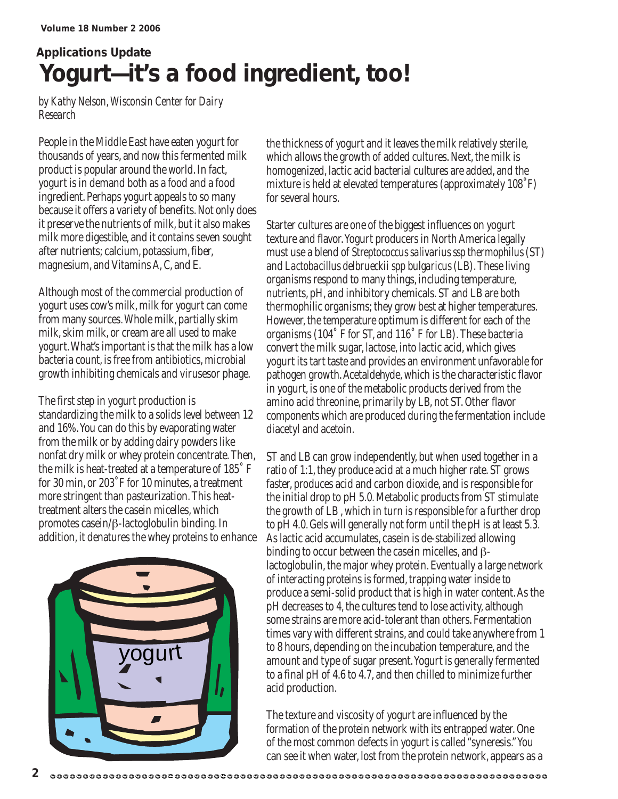## **Applications Update Yogurt—it's a food ingredient, too!**

*by Kathy Nelson, Wisconsin Center for Dairy Research*

People in the Middle East have eaten yogurt for thousands of years, and now this fermented milk product is popular around the world. In fact, yogurt is in demand both as a food and a food ingredient. Perhaps yogurt appeals to so many because it offers a variety of benefits. Not only does it preserve the nutrients of milk, but it also makes milk more digestible, and it contains seven sought after nutrients; calcium, potassium, fiber, magnesium, and Vitamins A, C, and E.

Although most of the commercial production of yogurt uses cow's milk, milk for yogurt can come from many sources. Whole milk, partially skim milk, skim milk, or cream are all used to make yogurt. What's important is that the milk has a low bacteria count, is free from antibiotics, microbial growth inhibiting chemicals and virusesor phage.

The first step in yogurt production is standardizing the milk to a solids level between 12 and 16%. You can do this by evaporating water from the milk or by adding dairy powders like nonfat dry milk or whey protein concentrate. Then, the milk is heat-treated at a temperature of 185˚ F for 30 min, or 203˚F for 10 minutes, a treatment more stringent than pasteurization. This heattreatment alters the casein micelles, which promotes casein/β-lactoglobulin binding. In addition, it denatures the whey proteins to enhance



the thickness of yogurt and it leaves the milk relatively sterile, which allows the growth of added cultures. Next, the milk is homogenized, lactic acid bacterial cultures are added, and the mixture is held at elevated temperatures (approximately 108˚F) for several hours.

Starter cultures are one of the biggest influences on yogurt texture and flavor. Yogurt producers in North America legally must use a blend of *Streptococcus salivarius ssp thermophilus* (ST) and *Lactobacillus delbrueckii spp bulgaricus* (LB). These living organisms respond to many things, including temperature, nutrients, pH, and inhibitory chemicals. ST and LB are both thermophilic organisms; they grow best at higher temperatures. However, the temperature optimum is different for each of the organisms (104˚ F for ST, and 116˚ F for LB). These bacteria convert the milk sugar, lactose, into lactic acid, which gives yogurt its tart taste and provides an environment unfavorable for pathogen growth. Acetaldehyde, which is the characteristic flavor in yogurt, is one of the metabolic products derived from the amino acid threonine, primarily by LB, not ST. Other flavor components which are produced during the fermentation include diacetyl and acetoin.

ST and LB can grow independently, but when used together in a ratio of 1:1, they produce acid at a much higher rate. ST grows faster, produces acid and carbon dioxide, and is responsible for the initial drop to pH 5.0. Metabolic products from ST stimulate the growth of LB , which in turn is responsible for a further drop to pH 4.0. Gels will generally not form until the pH is at least 5.3. As lactic acid accumulates, casein is de-stabilized allowing binding to occur between the casein micelles, and βlactoglobulin, the major whey protein. Eventually a large network of interacting proteins is formed, trapping water inside to produce a semi-solid product that is high in water content. As the pH decreases to 4, the cultures tend to lose activity, although some strains are more acid-tolerant than others. Fermentation times vary with different strains, and could take anywhere from 1 to 8 hours, depending on the incubation temperature, and the amount and type of sugar present. Yogurt is generally fermented to a final pH of 4.6 to 4.7, and then chilled to minimize further acid production.

The texture and viscosity of yogurt are influenced by the formation of the protein network with its entrapped water. One of the most common defects in yogurt is called "syneresis." You can see it when water, lost from the protein network, appears as a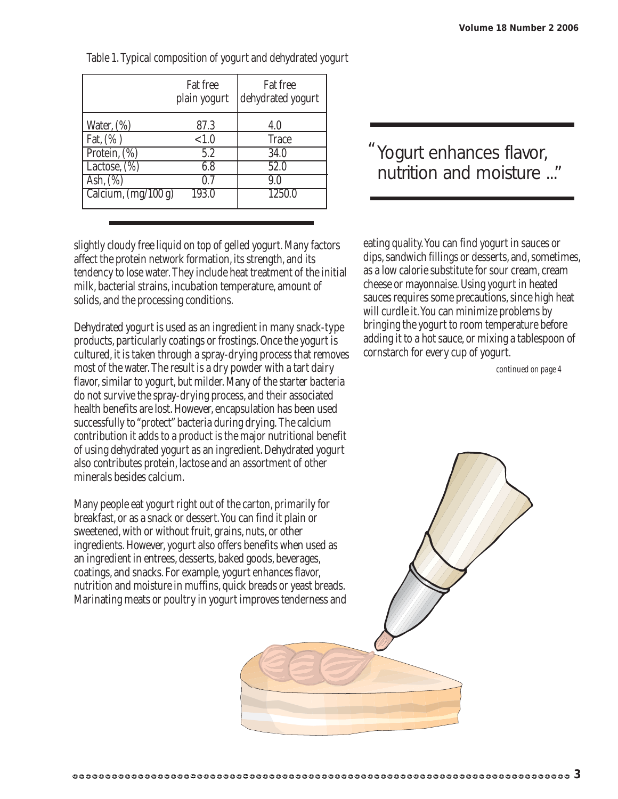|                             | Fat free<br>plain yogurt | Fat free<br>dehydrated yogurt |
|-----------------------------|--------------------------|-------------------------------|
| Water, $(\%)$               | 87.3                     | 4.0                           |
| Fat, $(\%)$<br>Protein, (%) | < 1.0<br>5.2             | <b>Trace</b><br>34.0          |
| Lactose, $(\%)$             | 6.8                      | 52.0                          |
| Ash, $(\%)$                 | 07                       | 9.0                           |
| Calcium, $(mg/100 g)$       | 193.0                    | 1250.0                        |

Table 1. Typical composition of yogurt and dehydrated yogurt

slightly cloudy free liquid on top of gelled yogurt. Many factors affect the protein network formation, its strength, and its tendency to lose water. They include heat treatment of the initial milk, bacterial strains, incubation temperature, amount of solids, and the processing conditions.

Dehydrated yogurt is used as an ingredient in many snack-type products, particularly coatings or frostings. Once the yogurt is cultured, it is taken through a spray-drying process that removes most of the water. The result is a dry powder with a tart dairy flavor, similar to yogurt, but milder. Many of the starter bacteria do not survive the spray-drying process, and their associated health benefits are lost. However, encapsulation has been used successfully to "protect" bacteria during drying. The calcium contribution it adds to a product is the major nutritional benefit of using dehydrated yogurt as an ingredient. Dehydrated yogurt also contributes protein, lactose and an assortment of other minerals besides calcium.

Many people eat yogurt right out of the carton, primarily for breakfast, or as a snack or dessert. You can find it plain or sweetened, with or without fruit, grains, nuts, or other ingredients. However, yogurt also offers benefits when used as an ingredient in entrees, desserts, baked goods, beverages, coatings, and snacks. For example, yogurt enhances flavor, nutrition and moisture in muffins, quick breads or yeast breads. Marinating meats or poultry in yogurt improves tenderness and

### Yogurt enhances flavor, "nutrition and moisture ..."

eating quality. You can find yogurt in sauces or dips, sandwich fillings or desserts, and, sometimes, as a low calorie substitute for sour cream, cream cheese or mayonnaise. Using yogurt in heated sauces requires some precautions, since high heat will curdle it. You can minimize problems by bringing the yogurt to room temperature before adding it to a hot sauce, or mixing a tablespoon of cornstarch for every cup of yogurt.

*continued on page 4*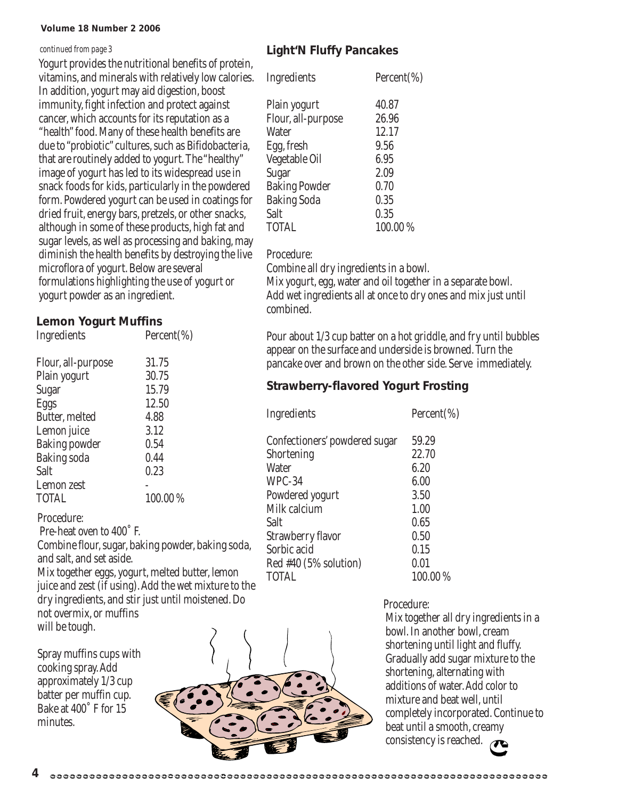#### **Volume 18 Number 2 2006**

#### *continued from page 3*

Yogurt provides the nutritional benefits of protein, vitamins, and minerals with relatively low calories. In addition, yogurt may aid digestion, boost immunity, fight infection and protect against cancer, which accounts for its reputation as a "health" food. Many of these health benefits are due to "probiotic" cultures, such as Bifidobacteria, that are routinely added to yogurt. The "healthy" image of yogurt has led to its widespread use in snack foods for kids, particularly in the powdered form. Powdered yogurt can be used in coatings for dried fruit, energy bars, pretzels, or other snacks, although in some of these products, high fat and sugar levels, as well as processing and baking, may diminish the health benefits by destroying the live microflora of yogurt. Below are several formulations highlighting the use of yogurt or yogurt powder as an ingredient.

### **Lemon Yogurt Muffins**

| Ingredients          | Percent $(\%)$ |
|----------------------|----------------|
| Flour, all-purpose   | 31.75          |
| Plain yogurt         | 30.75          |
| Sugar                | 15.79          |
| Eggs                 | 12.50          |
| Butter, melted       | 4.88           |
| Lemon juice          | 3.12           |
| <b>Baking powder</b> | 0.54           |
| <b>Baking soda</b>   | 0.44           |
| Salt                 | 0.23           |
| Lemon zest           |                |
| <b>TOTAL</b>         | 100.00%        |
|                      |                |

#### Procedure:

Pre-heat oven to 400˚ F.

Combine flour, sugar, baking powder, baking soda, and salt, and set aside.

Mix together eggs, yogurt, melted butter, lemon juice and zest (if using). Add the wet mixture to the dry ingredients, and stir just until moistened. Do not overmix, or muffins will be tough.

Spray muffins cups with cooking spray. Add approximately 1/3 cup batter per muffin cup. Bake at 400˚ F for 15 minutes.

**4**

#### **Light'N Fluffy Pancakes**

| Ingredients          | Percent $(\%)$ |
|----------------------|----------------|
| Plain yogurt         | 40.87          |
| Flour, all-purpose   | 26.96          |
| <b>Water</b>         | 12.17          |
| Egg, fresh           | 9.56           |
| Vegetable Oil        | 6.95           |
| Sugar                | 2.09           |
| <b>Baking Powder</b> | 0.70           |
| <b>Baking Soda</b>   | 0.35           |
| Salt                 | 0.35           |
| <b>TOTAL</b>         | 100.00%        |

#### Procedure:

Combine all dry ingredients in a bowl.

Mix yogurt, egg, water and oil together in a separate bowl. Add wet ingredients all at once to dry ones and mix just until combined.

Pour about 1/3 cup batter on a hot griddle, and fry until bubbles appear on the surface and underside is browned. Turn the pancake over and brown on the other side. Serve immediately.

#### **Strawberry-flavored Yogurt Frosting**

| Ingredients                   | Percent(%) |
|-------------------------------|------------|
| Confectioners' powdered sugar | 59.29      |
| Shortening                    | 22.70      |
| Water                         | 6.20       |
| WPC-34                        | 6.00       |
| Powdered yogurt               | 3.50       |
| Milk calcium                  | 1.00       |
| Salt                          | 0.65       |
| Strawberry flavor             | 0.50       |
| Sorbic acid                   | 0.15       |
| $Red$ #40 (5% solution)       | 0.01       |
| TOTAL                         | 100.00 %   |
|                               |            |



#### Procedure:

Mix together all dry ingredients in a bowl. In another bowl, cream shortening until light and fluffy. Gradually add sugar mixture to the shortening, alternating with additions of water. Add color to mixture and beat well, until completely incorporated. Continue to beat until a smooth, creamy consistency is reached.

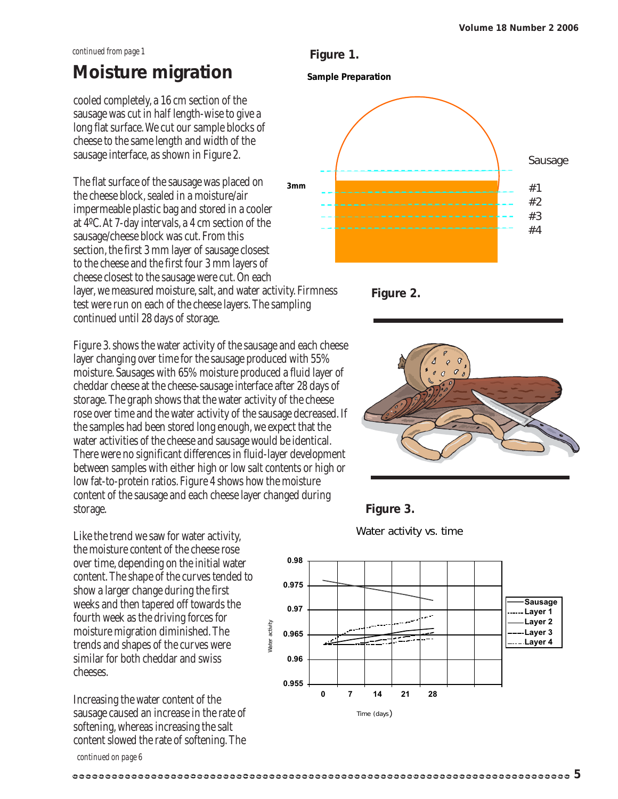#### *continued from page 1*

### **Moisture migration**

cooled completely, a 16 cm section of the sausage was cut in half length-wise to give a long flat surface. We cut our sample blocks of cheese to the same length and width of the sausage interface, as shown in Figure 2.

The flat surface of the sausage was placed on the cheese block, sealed in a moisture/air impermeable plastic bag and stored in a cooler at 4ºC. At 7-day intervals, a 4 cm section of the sausage/cheese block was cut. From this section, the first 3 mm layer of sausage closest to the cheese and the first four 3 mm layers of cheese closest to the sausage were cut. On each layer, we measured moisture, salt, and water activity. Firmness test were run on each of the cheese layers. The sampling continued until 28 days of storage. **3mm**

Figure 3. shows the water activity of the sausage and each cheese layer changing over time for the sausage produced with 55% moisture. Sausages with 65% moisture produced a fluid layer of cheddar cheese at the cheese-sausage interface after 28 days of storage. The graph shows that the water activity of the cheese rose over time and the water activity of the sausage decreased. If the samples had been stored long enough, we expect that the water activities of the cheese and sausage would be identical. There were no significant differences in fluid-layer development between samples with either high or low salt contents or high or low fat-to-protein ratios. Figure 4 shows how the moisture content of the sausage and each cheese layer changed during storage.

Like the trend we saw for water activity, the moisture content of the cheese rose over time, depending on the initial water content. The shape of the curves tended to show a larger change during the first weeks and then tapered off towards the fourth week as the driving forces for moisture migration diminished. The trends and shapes of the curves were similar for both cheddar and swiss cheeses.

Increasing the water content of the sausage caused an increase in the rate of softening, whereas increasing the salt content slowed the rate of softening. The

#### **Sample Preparation Figure 1.**













*continued on page 6*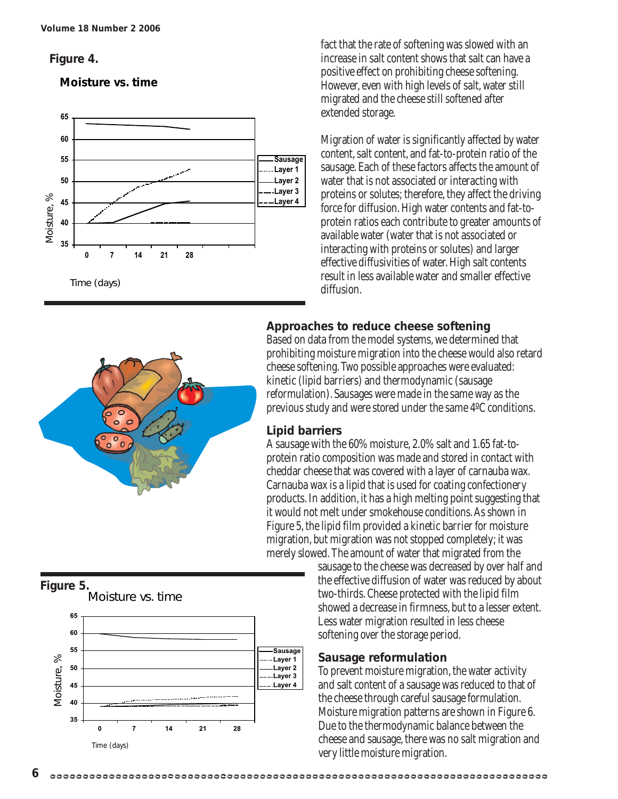#### **Figure 4.**

#### **Moisture vs. time**





#### **Figure 5.**





fact that the rate of softening was slowed with an increase in salt content shows that salt can have a positive effect on prohibiting cheese softening. However, even with high levels of salt, water still migrated and the cheese still softened after extended storage.

Migration of water is significantly affected by water content, salt content, and fat-to-protein ratio of the sausage. Each of these factors affects the amount of water that is not associated or interacting with proteins or solutes; therefore, they affect the driving force for diffusion. High water contents and fat-toprotein ratios each contribute to greater amounts of available water (water that is not associated or interacting with proteins or solutes) and larger effective diffusivities of water. High salt contents result in less available water and smaller effective diffusion.

#### **Approaches to reduce cheese softening**

Based on data from the model systems, we determined that prohibiting moisture migration into the cheese would also retard cheese softening. Two possible approaches were evaluated: kinetic (lipid barriers) and thermodynamic (sausage reformulation). Sausages were made in the same way as the previous study and were stored under the same 4ºC conditions.

#### **Lipid barriers**

A sausage with the 60% moisture, 2.0% salt and 1.65 fat-toprotein ratio composition was made and stored in contact with cheddar cheese that was covered with a layer of carnauba wax. Carnauba wax is a lipid that is used for coating confectionery products. In addition, it has a high melting point suggesting that it would not melt under smokehouse conditions. As shown in Figure 5, the lipid film provided a kinetic barrier for moisture migration, but migration was not stopped completely; it was merely slowed. The amount of water that migrated from the

sausage to the cheese was decreased by over half and the effective diffusion of water was reduced by about two-thirds. Cheese protected with the lipid film showed a decrease in firmness, but to a lesser extent. Less water migration resulted in less cheese softening over the storage period.

#### **Sausage reformulation**

To prevent moisture migration, the water activity and salt content of a sausage was reduced to that of the cheese through careful sausage formulation. Moisture migration patterns are shown in Figure 6. Due to the thermodynamic balance between the cheese and sausage, there was no salt migration and very little moisture migration.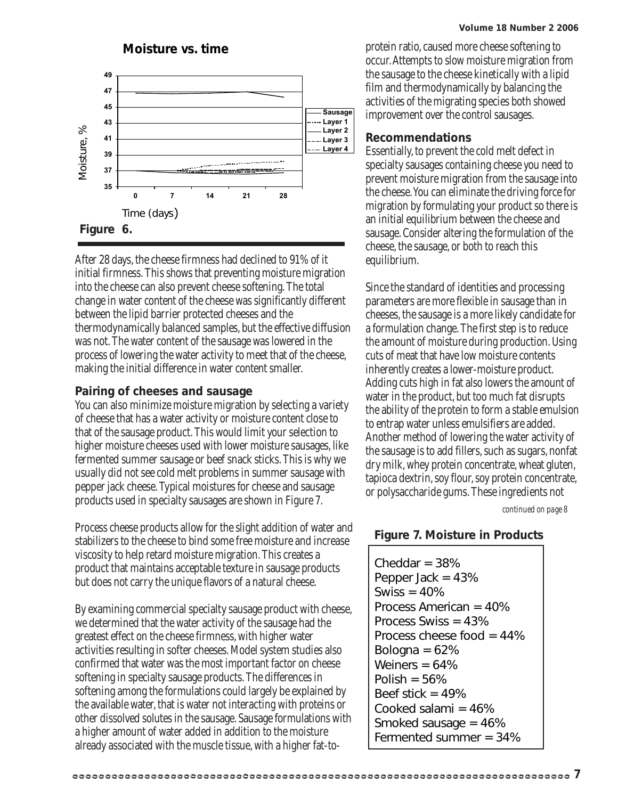#### **Volume 18 Number 2 2006**



After 28 days, the cheese firmness had declined to 91% of it initial firmness. This shows that preventing moisture migration into the cheese can also prevent cheese softening. The total change in water content of the cheese was significantly different between the lipid barrier protected cheeses and the thermodynamically balanced samples, but the effective diffusion was not. The water content of the sausage was lowered in the process of lowering the water activity to meet that of the cheese, making the initial difference in water content smaller.

#### **Pairing of cheeses and sausage**

You can also minimize moisture migration by selecting a variety of cheese that has a water activity or moisture content close to that of the sausage product. This would limit your selection to higher moisture cheeses used with lower moisture sausages, like fermented summer sausage or beef snack sticks. This is why we usually did not see cold melt problems in summer sausage with pepper jack cheese. Typical moistures for cheese and sausage products used in specialty sausages are shown in Figure 7.

Process cheese products allow for the slight addition of water and stabilizers to the cheese to bind some free moisture and increase viscosity to help retard moisture migration. This creates a product that maintains acceptable texture in sausage products but does not carry the unique flavors of a natural cheese.

By examining commercial specialty sausage product with cheese, we determined that the water activity of the sausage had the greatest effect on the cheese firmness, with higher water activities resulting in softer cheeses. Model system studies also confirmed that water was the most important factor on cheese softening in specialty sausage products. The differences in softening among the formulations could largely be explained by the available water, that is water not interacting with proteins or other dissolved solutes in the sausage. Sausage formulations with a higher amount of water added in addition to the moisture already associated with the muscle tissue, with a higher fat-toprotein ratio, caused more cheese softening to occur. Attempts to slow moisture migration from the sausage to the cheese kinetically with a lipid film and thermodynamically by balancing the activities of the migrating species both showed improvement over the control sausages.

#### **Recommendations**

Essentially, to prevent the cold melt defect in specialty sausages containing cheese you need to prevent moisture migration from the sausage into the cheese. You can eliminate the driving force for migration by formulating your product so there is an initial equilibrium between the cheese and sausage. Consider altering the formulation of the cheese, the sausage, or both to reach this equilibrium.

Since the standard of identities and processing parameters are more flexible in sausage than in cheeses, the sausage is a more likely candidate for a formulation change. The first step is to reduce the amount of moisture during production. Using cuts of meat that have low moisture contents inherently creates a lower-moisture product. Adding cuts high in fat also lowers the amount of water in the product, but too much fat disrupts the ability of the protein to form a stable emulsion to entrap water unless emulsifiers are added. Another method of lowering the water activity of the sausage is to add fillers, such as sugars, nonfat dry milk, whey protein concentrate, wheat gluten, tapioca dextrin, soy flour, soy protein concentrate, or polysaccharide gums. These ingredients not

*continued on page 8*

#### **Figure 7. Moisture in Products**

Cheddar  $=$  38% Pepper Jack = 43% Swiss  $= 40%$ Process American = 40% Process Swiss = 43% Process cheese food = 44% Bologna  $= 62\%$ Weiners  $= 64%$ Polish  $= 56\%$ Beef stick  $= 49%$ Cooked salami = 46% Smoked sausage = 46% Fermented summer = 34%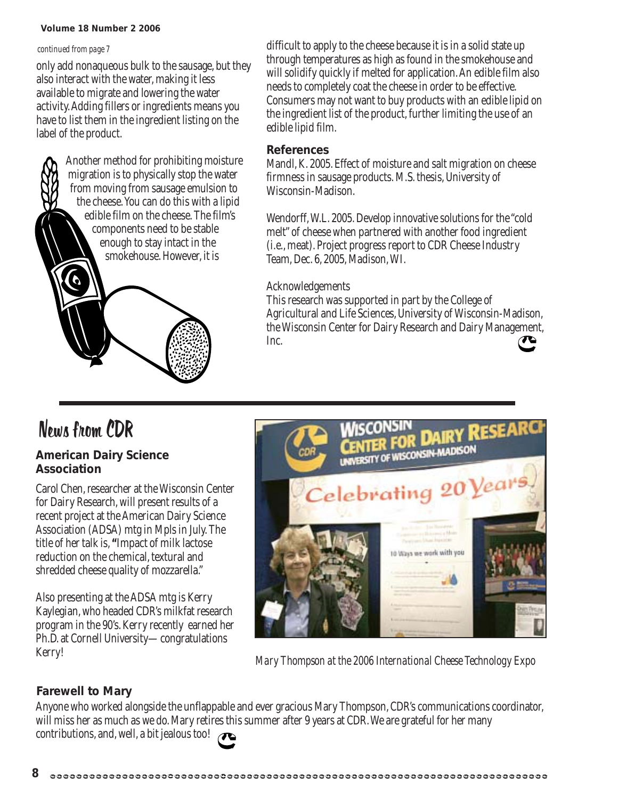#### **Volume 18 Number 2 2006**

#### *continued from page 7*

only add nonaqueous bulk to the sausage, but they also interact with the water, making it less available to migrate and lowering the water activity. Adding fillers or ingredients means you have to list them in the ingredient listing on the label of the product.

> Another method for prohibiting moisture migration is to physically stop the water from moving from sausage emulsion to the cheese. You can do this with a lipid edible film on the cheese. The film's components need to be stable enough to stay intact in the smokehouse. However, it is

difficult to apply to the cheese because it is in a solid state up through temperatures as high as found in the smokehouse and will solidify quickly if melted for application. An edible film also needs to completely coat the cheese in order to be effective. Consumers may not want to buy products with an edible lipid on the ingredient list of the product, further limiting the use of an edible lipid film.

#### **References**

Mandl, K. 2005. Effect of moisture and salt migration on cheese firmness in sausage products. M.S. thesis, University of Wisconsin-Madison.

Wendorff, W.L. 2005. Develop innovative solutions for the "cold melt" of cheese when partnered with another food ingredient (i.e., meat). Project progress report to CDR Cheese Industry Team, Dec. 6, 2005, Madison, WI.

#### Acknowledgements

This research was supported in part by the College of Agricultural and Life Sciences, University of Wisconsin-Madison, the Wisconsin Center for Dairy Research and Dairy Management, Inc.

## News from CDR

#### **American Dairy Science Association**

Carol Chen, researcher at the Wisconsin Center for Dairy Research, will present results of a recent project at the American Dairy Science Association (ADSA) mtg in Mpls in July. The title of her talk is, **"**Impact of milk lactose reduction on the chemical, textural and shredded cheese quality of mozzarella."

Also presenting at the ADSA mtg is Kerry Kaylegian, who headed CDR's milkfat research program in the 90's. Kerry recently earned her Ph.D. at Cornell University—congratulations Kerry!



*Mary Thompson at the 2006 International Cheese Technology Expo*

#### **Farewell to Mary**

Anyone who worked alongside the unflappable and ever gracious Mary Thompson, CDR's communications coordinator, will miss her as much as we do. Mary retires this summer after 9 years at CDR. We are grateful for her many contributions, and, well, a bit jealous too!

|   | . . |
|---|-----|
| ø |     |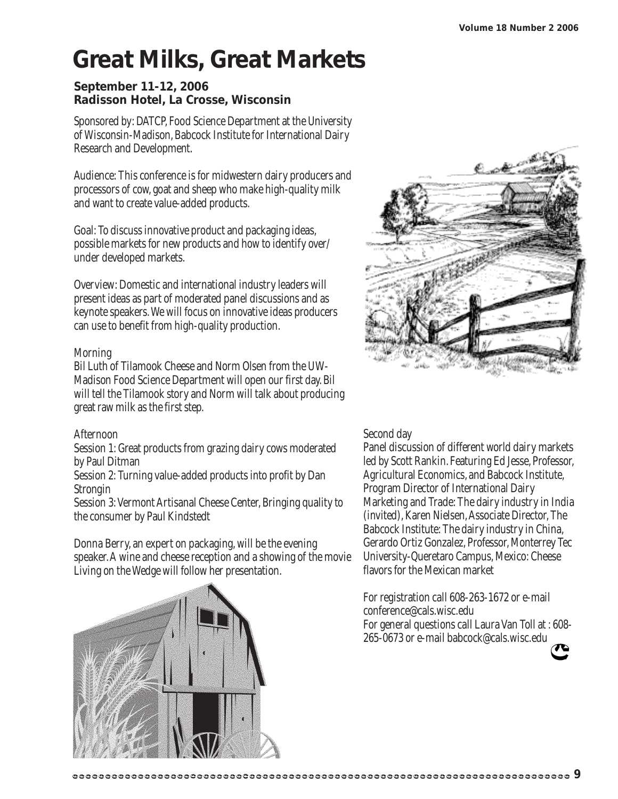## **Great Milks, Great Markets**

#### **September 11-12, 2006 Radisson Hotel, La Crosse, Wisconsin**

Sponsored by: DATCP, Food Science Department at the University of Wisconsin-Madison, Babcock Institute for International Dairy Research and Development.

Audience: This conference is for midwestern dairy producers and processors of cow, goat and sheep who make high-quality milk and want to create value-added products.

Goal: To discuss innovative product and packaging ideas, possible markets for new products and how to identify over/ under developed markets.

Overview: Domestic and international industry leaders will present ideas as part of moderated panel discussions and as keynote speakers. We will focus on innovative ideas producers can use to benefit from high-quality production.

#### Morning

Bil Luth of Tilamook Cheese and Norm Olsen from the UW-Madison Food Science Department will open our first day. Bil will tell the Tilamook story and Norm will talk about producing great raw milk as the first step.

#### Afternoon

Session 1: Great products from grazing dairy cows moderated by Paul Ditman

Session 2: Turning value-added products into profit by Dan **Strongin** 

Session 3: Vermont Artisanal Cheese Center, Bringing quality to the consumer by Paul Kindstedt

Donna Berry, an expert on packaging, will be the evening speaker. A wine and cheese reception and a showing of the movie Living on the Wedge will follow her presentation.



#### Second day

Panel discussion of different world dairy markets led by Scott Rankin. Featuring Ed Jesse, Professor, Agricultural Economics, and Babcock Institute, Program Director of International Dairy Marketing and Trade: The dairy industry in India (invited), Karen Nielsen, Associate Director, The Babcock Institute: The dairy industry in China, Gerardo Ortiz Gonzalez, Professor, Monterrey Tec University-Queretaro Campus, Mexico: Cheese flavors for the Mexican market

For registration call 608-263-1672 or e-mail conference@cals.wisc.edu For general questions call Laura Van Toll at : 608- 265-0673 or e-mail babcock@cals.wisc.edu

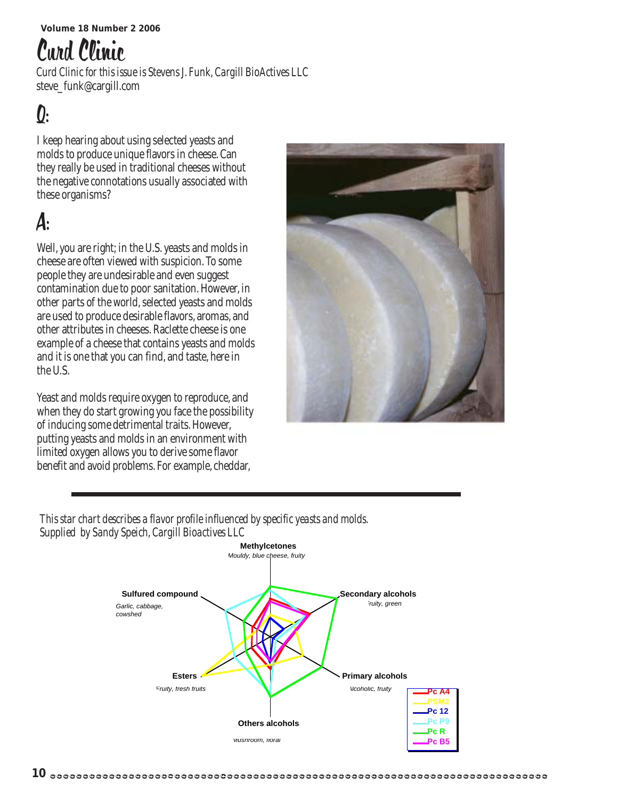## Curd Clinic

*Curd Clinic for this issue is Stevens J. Funk, Cargill BioActives LLC* steve\_funk@cargill.com

## $\boldsymbol{0}$ :

I keep hearing about using selected yeasts and molds to produce unique flavors in cheese. Can they really be used in traditional cheeses without the negative connotations usually associated with these organisms?

## A:

Well, you are right; in the U.S. yeasts and molds in cheese are often viewed with suspicion. To some people they are undesirable and even suggest contamination due to poor sanitation. However, in other parts of the world, selected yeasts and molds are used to produce desirable flavors, aromas, and other attributes in cheeses. Raclette cheese is one example of a cheese that contains yeasts and molds and it is one that you can find, and taste, here in the U.S.

Yeast and molds require oxygen to reproduce, and when they do start growing you face the possibility of inducing some detrimental traits. However, putting yeasts and molds in an environment with limited oxygen allows you to derive some flavor benefit and avoid problems. For example, cheddar,



*This star chart describes a flavor profile influenced by specific yeasts and molds. Supplied by Sandy Speich, Cargill Bioactives LLC*

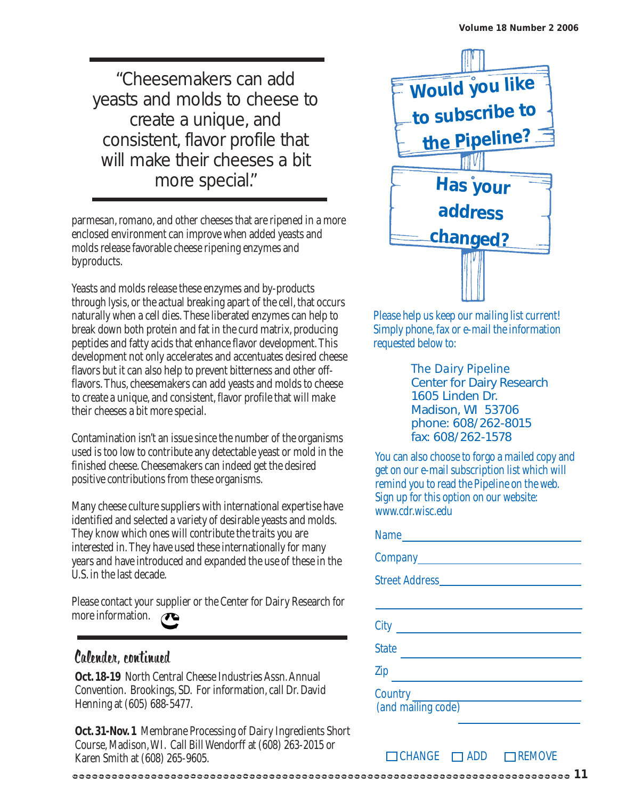"Cheesemakers can add yeasts and molds to cheese to create a unique, and consistent, flavor profile that will make their cheeses a bit more special."

parmesan, romano, and other cheeses that are ripened in a more enclosed environment can improve when added yeasts and molds release favorable cheese ripening enzymes and byproducts.

Yeasts and molds release these enzymes and by-products through lysis, or the actual breaking apart of the cell, that occurs naturally when a cell dies. These liberated enzymes can help to break down both protein and fat in the curd matrix, producing peptides and fatty acids that enhance flavor development. This development not only accelerates and accentuates desired cheese flavors but it can also help to prevent bitterness and other offflavors. Thus, cheesemakers can add yeasts and molds to cheese to create a unique, and consistent, flavor profile that will make their cheeses a bit more special.

Contamination isn't an issue since the number of the organisms used is too low to contribute any detectable yeast or mold in the finished cheese. Cheesemakers can indeed get the desired positive contributions from these organisms.

Many cheese culture suppliers with international expertise have identified and selected a variety of desirable yeasts and molds. They know which ones will contribute the traits you are interested in. They have used these internationally for many years and have introduced and expanded the use of these in the U.S. in the last decade.

Please contact your supplier or the Center for Dairy Research for more information.

### Calender, continued

**Oct. 18-19** North Central Cheese Industries Assn. Annual Convention. Brookings, SD. For information, call Dr. David Henning at (605) 688-5477.

**Oct. 31-Nov. 1** Membrane Processing of Dairy Ingredients Short Course, Madison, WI. Call Bill Wendorff at (608) 263-2015 or Karen Smith at (608) 265-9605.

**11**



Please help us keep our mailing list current! Simply phone, fax or e-mail the information requested below to:

> *The Dairy Pipeline* Center for Dairy Research 1605 Linden Dr. Madison, WI 53706 phone: 608/262-8015 fax: 608/262-1578

You can also choose to forgo a mailed copy and get on our e-mail subscription list which will remind you to read the Pipeline on the web. Sign up for this option on our website: www.cdr.wisc.edu

| City                                |
|-------------------------------------|
| <b>State</b>                        |
| Zip                                 |
| Country _____<br>(and mailing code) |

 $\Box$ CHANGE  $\Box$ ADD  $\Box$ REMOVE